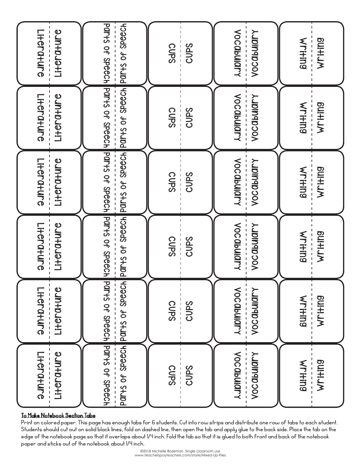| Literature |                                                                                                 | <b>CUPS</b> | <b>VOCObUIOTY</b>   | Writing              |
|------------|-------------------------------------------------------------------------------------------------|-------------|---------------------|----------------------|
| Li+era+ure |                                                                                                 | <b>CUPS</b> | <b>Vocabulary</b>   | <b>KHITHING</b>      |
| Literature |                                                                                                 | <b>CUPS</b> | <b>VOCObUIOTY</b>   | Writing              |
| Literature |                                                                                                 | <b>CUPS</b> | <b>VOC abulary</b>  | KITHING              |
| Literature |                                                                                                 | CUPS        | <b>VOCQbUIGITY</b>  | <b>KLITID9</b>       |
| Literature |                                                                                                 | <b>CUPS</b> | <b>VOC abulary</b>  | Wri <del>r</del> ing |
| Li+era+ure | Parts of Specer restricts of Specer restricts of Specer respectively                            | <b>CUPS</b> | <b>VOCQbUIQPY</b>   | <b>KLIHIJS</b>       |
| Literature |                                                                                                 | <b>CUPS</b> | <b>VOCObUIOLY</b>   | Writing              |
| Literature | PON-S OF SPEECH PON-S OF SPEECH PON-S OF SPEECH PON-S OF SPEECH PON-S OF SPEECH PON-S OF SPEECH | <b>CUPS</b> | <b>VOC dbullary</b> | Writing              |
| Literature | Parts of Speech Parts of Speech                                                                 | CUPS        | <b>VOC abulary</b>  | KLI+IN9              |
| Literature |                                                                                                 | <b>CUPS</b> | <b>VOCObUIOLY</b>   | Writing              |
| Literature |                                                                                                 | <b>CUPS</b> | <b>VOCObUIOILA</b>  | KLI+iDa              |

## To Make Notebook Section Tabs

Print on colored paper. This page has enough tabs for 6 students. Cut into row strips and distribute one row of tabs to each student. Students should cut out on solid black lines, fold on dashed line, then open the tab and apply glue to the back side. Place the tab on the edge of the notebook page so that it overlaps about 1/4 inch. Fold the tab so that it is glued to both front and back of the notebook paper and sticks out of the notebook about 1/4 inch.